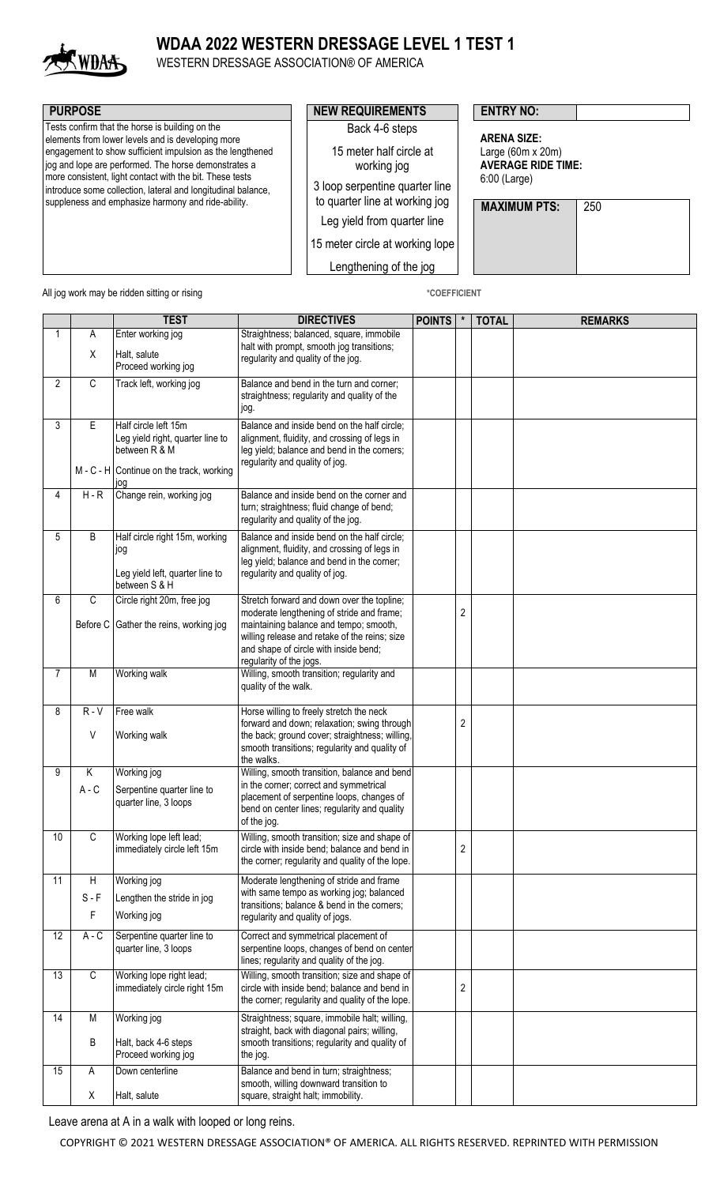

## **WDAA 2022 WESTERN DRESSAGE LEVEL 1 TEST 1**

WESTERN DRESSAGE ASSOCIATION® OF AMERICA

| <b>PURPOSE</b>                                                                                                                                                                                                                                                                                                                                                                                              | <b>NEW REQUIREMENTS</b>                                                                                                                                                                                                  | <b>ENTRY NO:</b>                                                                                                          |
|-------------------------------------------------------------------------------------------------------------------------------------------------------------------------------------------------------------------------------------------------------------------------------------------------------------------------------------------------------------------------------------------------------------|--------------------------------------------------------------------------------------------------------------------------------------------------------------------------------------------------------------------------|---------------------------------------------------------------------------------------------------------------------------|
| Tests confirm that the horse is building on the<br>elements from lower levels and is developing more<br>engagement to show sufficient impulsion as the lengthened<br>jog and lope are performed. The horse demonstrates a<br>more consistent, light contact with the bit. These tests<br>introduce some collection, lateral and longitudinal balance,<br>suppleness and emphasize harmony and ride-ability. | Back 4-6 steps<br>15 meter half circle at<br>working jog<br>3 loop serpentine quarter line<br>to quarter line at working jog<br>Leg yield from quarter line<br>15 meter circle at working lope<br>Lengthening of the jog | <b>ARENA SIZE:</b><br>Large $(60m \times 20m)$<br><b>AVERAGE RIDE TIME:</b><br>6:00 (Large)<br><b>MAXIMUM PTS:</b><br>250 |

All jog work may be ridden sitting or rising **\*COEFFICIENT** \*COEFFICIENT

|                |                   | <b>TEST</b>                                                                                                                    | <b>DIRECTIVES</b>                                                                                                                                                                                                                                      | <b>POINTS</b> | $\star$          | <b>TOTAL</b> | <b>REMARKS</b> |
|----------------|-------------------|--------------------------------------------------------------------------------------------------------------------------------|--------------------------------------------------------------------------------------------------------------------------------------------------------------------------------------------------------------------------------------------------------|---------------|------------------|--------------|----------------|
| 1              | Α                 | Enter working jog                                                                                                              | Straightness; balanced, square, immobile                                                                                                                                                                                                               |               |                  |              |                |
|                | Χ                 | Halt, salute<br>Proceed working jog                                                                                            | halt with prompt, smooth jog transitions;<br>regularity and quality of the jog.                                                                                                                                                                        |               |                  |              |                |
| $\overline{2}$ | C                 | Track left, working jog                                                                                                        | Balance and bend in the turn and corner;<br>straightness; regularity and quality of the<br>jog.                                                                                                                                                        |               |                  |              |                |
| 3              | E                 | Half circle left 15m<br>Leg yield right, quarter line to<br>between R & M<br>$M - C - H$ Continue on the track, working<br>lod | Balance and inside bend on the half circle;<br>alignment, fluidity, and crossing of legs in<br>leg yield; balance and bend in the corners;<br>regularity and quality of jog.                                                                           |               |                  |              |                |
| 4              | $H - R$           | Change rein, working jog                                                                                                       | Balance and inside bend on the corner and<br>turn; straightness; fluid change of bend;<br>regularity and quality of the jog.                                                                                                                           |               |                  |              |                |
| 5              | B                 | Half circle right 15m, working<br>lod<br>Leg yield left, quarter line to<br>between S & H                                      | Balance and inside bend on the half circle;<br>alignment, fluidity, and crossing of legs in<br>leg yield; balance and bend in the corner;<br>regularity and quality of jog.                                                                            |               |                  |              |                |
| 6              | C                 | Circle right 20m, free jog<br>Before C Gather the reins, working jog                                                           | Stretch forward and down over the topline;<br>moderate lengthening of stride and frame;<br>maintaining balance and tempo; smooth,<br>willing release and retake of the reins; size<br>and shape of circle with inside bend;<br>regularity of the jogs. |               | 2                |              |                |
| 7              | M                 | Working walk                                                                                                                   | Willing, smooth transition; regularity and<br>quality of the walk.                                                                                                                                                                                     |               |                  |              |                |
| 8              | $R - V$<br>V      | Free walk<br>Working walk                                                                                                      | Horse willing to freely stretch the neck<br>forward and down; relaxation; swing through<br>the back; ground cover; straightness; willing,<br>smooth transitions; regularity and quality of<br>the walks.                                               |               | 2                |              |                |
| 9              | Κ<br>$A - C$      | Working jog<br>Serpentine quarter line to<br>quarter line, 3 loops                                                             | Willing, smooth transition, balance and bend<br>in the corner; correct and symmetrical<br>placement of serpentine loops, changes of<br>bend on center lines; regularity and quality<br>of the jog.                                                     |               |                  |              |                |
| 10             | $\overline{C}$    | Working lope left lead;<br>immediately circle left 15m                                                                         | Willing, smooth transition; size and shape of<br>circle with inside bend; balance and bend in<br>the corner; regularity and quality of the lope.                                                                                                       |               | 2                |              |                |
| 11             | H<br>$S - F$<br>F | Working jog<br>Lengthen the stride in jog<br>Working jog                                                                       | Moderate lengthening of stride and frame<br>with same tempo as working jog; balanced<br>transitions; balance & bend in the corners;<br>regularity and quality of jogs.                                                                                 |               |                  |              |                |
| 12             | $A - C$           | Serpentine quarter line to<br>quarter line, 3 loops                                                                            | Correct and symmetrical placement of<br>serpentine loops, changes of bend on center<br>lines; regularity and quality of the jog.                                                                                                                       |               |                  |              |                |
| 13             | $\mathsf C$       | Working lope right lead;<br>immediately circle right 15m                                                                       | Willing, smooth transition; size and shape of<br>circle with inside bend; balance and bend in<br>the corner; regularity and quality of the lope.                                                                                                       |               | $\boldsymbol{2}$ |              |                |
| 14             | М<br>B            | Working jog<br>Halt, back 4-6 steps<br>Proceed working jog                                                                     | Straightness; square, immobile halt; willing,<br>straight, back with diagonal pairs; willing,<br>smooth transitions; regularity and quality of<br>the jog.                                                                                             |               |                  |              |                |
| 15             | Α<br>X            | Down centerline<br>Halt, salute                                                                                                | Balance and bend in turn; straightness;<br>smooth, willing downward transition to<br>square, straight halt; immobility.                                                                                                                                |               |                  |              |                |

Leave arena at A in a walk with looped or long reins.

COPYRIGHT © 2021 WESTERN DRESSAGE ASSOCIATION® OF AMERICA. ALL RIGHTS RESERVED. REPRINTED WITH PERMISSION